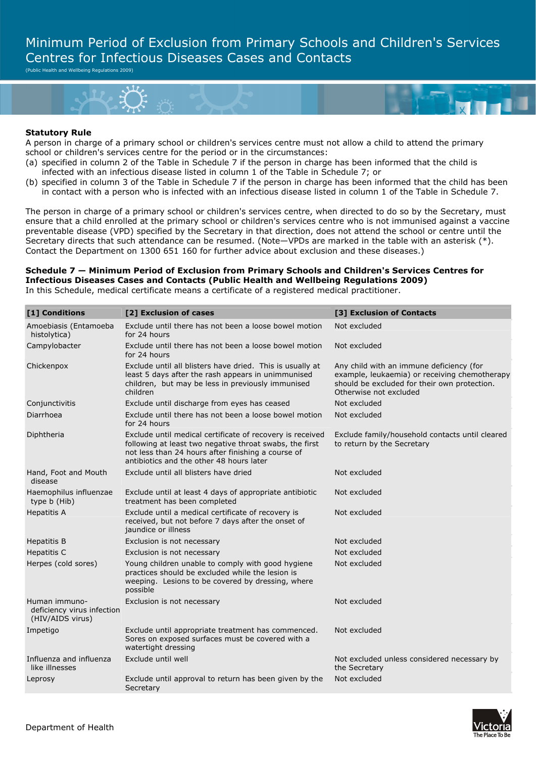Minimum Period of Exclusion from Primary Schools and Children's Services Centres for Infectious Diseases Cases and Contacts

(Public Health and Wellbeing Regulations 2009)



## **Statutory Rule**

A person in charge of a primary school or children's services centre must not allow a child to attend the primary school or children's services centre for the period or in the circumstances:

- (a) specified in column 2 of the Table in Schedule 7 if the person in charge has been informed that the child is infected with an infectious disease listed in column 1 of the Table in Schedule 7; or
- (b) specified in column 3 of the Table in Schedule 7 if the person in charge has been informed that the child has been in contact with a person who is infected with an infectious disease listed in column 1 of the Table in Schedule 7.

The person in charge of a primary school or children's services centre, when directed to do so by the Secretary, must ensure that a child enrolled at the primary school or children's services centre who is not immunised against a vaccine preventable disease (VPD) specified by the Secretary in that direction, does not attend the school or centre until the Secretary directs that such attendance can be resumed. (Note—VPDs are marked in the table with an asterisk (\*). Contact the Department on 1300 651 160 for further advice about exclusion and these diseases.)

## **Schedule 7 — Minimum Period of Exclusion from Primary Schools and Children's Services Centres for Infectious Diseases Cases and Contacts (Public Health and Wellbeing Regulations 2009)**  In this Schedule, medical certificate means a certificate of a registered medical practitioner.

| [1] Conditions                                                  | [2] Exclusion of cases                                                                                                                                                                                                 | [3] Exclusion of Contacts                                                                                                                                           |
|-----------------------------------------------------------------|------------------------------------------------------------------------------------------------------------------------------------------------------------------------------------------------------------------------|---------------------------------------------------------------------------------------------------------------------------------------------------------------------|
| Amoebiasis (Entamoeba<br>histolytica)                           | Exclude until there has not been a loose bowel motion<br>for 24 hours                                                                                                                                                  | Not excluded                                                                                                                                                        |
| Campylobacter                                                   | Exclude until there has not been a loose bowel motion<br>for 24 hours                                                                                                                                                  | Not excluded                                                                                                                                                        |
| Chickenpox                                                      | Exclude until all blisters have dried. This is usually at<br>least 5 days after the rash appears in unimmunised<br>children, but may be less in previously immunised<br>children                                       | Any child with an immune deficiency (for<br>example, leukaemia) or receiving chemotherapy<br>should be excluded for their own protection.<br>Otherwise not excluded |
| Conjunctivitis                                                  | Exclude until discharge from eyes has ceased                                                                                                                                                                           | Not excluded                                                                                                                                                        |
| Diarrhoea                                                       | Exclude until there has not been a loose bowel motion<br>for 24 hours                                                                                                                                                  | Not excluded                                                                                                                                                        |
| Diphtheria                                                      | Exclude until medical certificate of recovery is received<br>following at least two negative throat swabs, the first<br>not less than 24 hours after finishing a course of<br>antibiotics and the other 48 hours later | Exclude family/household contacts until cleared<br>to return by the Secretary                                                                                       |
| Hand, Foot and Mouth<br>disease                                 | Exclude until all blisters have dried                                                                                                                                                                                  | Not excluded                                                                                                                                                        |
| Haemophilus influenzae<br>type b (Hib)                          | Exclude until at least 4 days of appropriate antibiotic<br>treatment has been completed                                                                                                                                | Not excluded                                                                                                                                                        |
| <b>Hepatitis A</b>                                              | Exclude until a medical certificate of recovery is<br>received, but not before 7 days after the onset of<br>jaundice or illness                                                                                        | Not excluded                                                                                                                                                        |
| Hepatitis B                                                     | Exclusion is not necessary                                                                                                                                                                                             | Not excluded                                                                                                                                                        |
| Hepatitis C                                                     | Exclusion is not necessary                                                                                                                                                                                             | Not excluded                                                                                                                                                        |
| Herpes (cold sores)                                             | Young children unable to comply with good hygiene<br>practices should be excluded while the lesion is<br>weeping. Lesions to be covered by dressing, where<br>possible                                                 | Not excluded                                                                                                                                                        |
| Human immuno-<br>deficiency virus infection<br>(HIV/AIDS virus) | Exclusion is not necessary                                                                                                                                                                                             | Not excluded                                                                                                                                                        |
| Impetigo                                                        | Exclude until appropriate treatment has commenced.                                                                                                                                                                     | Not excluded                                                                                                                                                        |
|                                                                 | Sores on exposed surfaces must be covered with a<br>watertight dressing                                                                                                                                                |                                                                                                                                                                     |
| Influenza and influenza<br>like illnesses                       | Exclude until well                                                                                                                                                                                                     | Not excluded unless considered necessary by<br>the Secretary                                                                                                        |
| Leprosy                                                         | Exclude until approval to return has been given by the<br>Secretary                                                                                                                                                    | Not excluded                                                                                                                                                        |